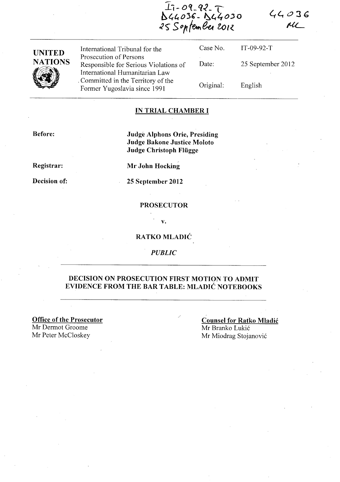$44036$  $\mu$ 

 $I_1 - 09 - 92 - 7$ **bl,403C -** ~~4o.Jo ~<) s()trffMt~ **toll..** 



International Tribunal for the Prosecution of Persons Responsible for Serious Violations of International Humanitarian Law . Committed in the Territory of the Former Yugoslavia since 1991

Case No. Date: Original: IT-09-92-T 25 September 2012 English

#### **IN TRIAL CHAMBER I**

**Before:** 

**Judge Alphons Orie, Presiding Judge Bakone Justice Moloto Judge Christoph Fliigge** 

**Registrar:** 

**Decision of:** 

**Mr John Hocking** 

**25 September 2012** 

### **PROSECUTOR**

**v.** 

### **RA TKO MLADIC**

*PUBLIC* 

### **DECISION ON PROSECUTION FIRST MOTION TO ADMIT EVIDENCE FROM THE BAR TABLE: MLADIC NOTEBOOKS**

**Office of the Prosecutor**  Mr Dermot Groome Mr Peter McCloskey

**Counsel for Ratko Mladic**  Mr Branko Lukic Mr Miodrag Stojanovic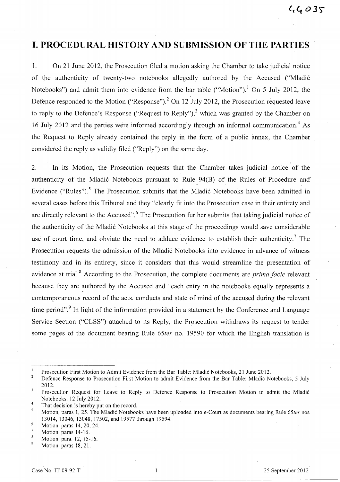# **I. PROCEDURAL HISTORY AND SUBMISSION OF THE PARTIES**

1. On 21 June 2012, the Prosecution filed a motion asking the Chamber to take judicial notice of the authenticity of twenty-two notebooks allegedly authored by the Accused ("Mladic Notebooks") and admit them into evidence from the bar table ("Motion").<sup>1</sup> On 5 July 2012, the Defence responded to the Motion ("Response").<sup>2</sup> On 12 July 2012, the Prosecution requested leave to reply to the Defence's Response ("Request to Reply"),<sup>3</sup> which was granted by the Chamber on 16 July 2012 and the parties were informed accordingly through an informal communication.<sup>4</sup> As the Request to Reply already contained the reply in the form of a public annex, the Chamber considered the reply as validly filed ("Reply") on the same day.

, 2. In its Motion, the Prosecution requests that the Chamber takes judicial notice of the authenticity of the Mladić Notebooks pursuant to Rule 94(B) of the Rules of Procedure and Evidence ("Rules").<sup>5</sup> The Prosecution submits that the Mladić Notebooks have been admitted in several cases before this Tribunal and they "clearly fit into the Prosecution case in their entirety and are directly relevant to the Accused".<sup>6</sup> The Prosecution further submits that taking judicial notice of the authenticity of the Mladic Notebooks at this stage of the proceedings would save considerable use of court time, and obviate the need to adduce evidence to establish their authenticity.<sup>7</sup> The Prosecution requests the admission of the Mladic Notebooks into evidence in advance of witness testimony and in its entirety, since it considers that this would streamline the presentation of evidence at trial. 8 According to the Prosecution, the complete documents are *prima facie* relevant because they are authored by the Accused and "each entry in the notebooks equally represents a contemporaneous record of the acts, conducts and state of mind of the accused during the relevant time period".<sup>9</sup> In light of the information provided in a statement by the Conference and Language Service Section ("CLSS") attached to its Reply, the Prosecution withdraws its request to tender some pages of the document bearing Rule *65ter* no. 19590 for which the English translation is

Prosecution First Motion to Admit Evidence from the Bar Table: Mladic Notebooks, 21 June 2012.

 $\overline{2}$ Defence Response to Prosecution First Motion to admit Evidence from the Bar Table: Mladic Notebooks, 5 July 2012.

 $\overline{\mathbf{3}}$ Prosecution Request for Leave to Reply to Defence Response to Prosecution Motion to admit the Mladic Notebooks, 12 July 2012. ' 4

That decision is hereby put on the record.

Motion, paras 1,25. The Mladic Notebooks have been uploaded into e-Court as documents bearing Rule *65ter* nos 13014,13046,13048,17502, and 19577 through 19594. 6

Motion, paras 14,20,24.

Motion, paras 14-16.  $\overline{8}$ 

Motion, para. 12, 15-16.

Motion, paras 18, 21.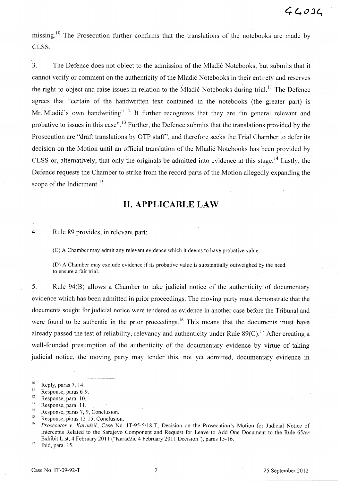missing.<sup>10</sup> The Prosecution further confirms that the translations of the notebooks are made by CLSS.

3. The Defence does not object to the admission of the Mladić Notebooks, but submits that it cannot verify or comment on the authenticity of the Mladić Notebooks in their entirety and reserves the right to object and raise issues in relation to the Mladić Notebooks during trial.<sup>11</sup> The Defence agrees that "certain of the handwritten text contained in the notebooks (the greater part) is Mr. Mladić's own handwriting".<sup>12</sup> It further recognizes that they are "in general relevant and probative to issues in this case".<sup>13</sup> Further, the Defence submits that the translations provided by the Prosecution are "draft translations by OTP staff', and therefore seeks the Trial Chamber to defer its decision on the Motion until an official translation of the Mladić Notebooks has been provided by CLSS or, alternatively, that only the originals be admitted into evidence at this stage.<sup>14</sup> Lastly, the Defence requests the Chamber to strike from the record parts of the Motion allegedly expanding the scope of the Indictment.<sup>15</sup>

# **11. APPLICABLE LAW**

4. Rule 89 provides, in relevant part:

(C) A Chamber may admit any relevant evidence which it deems to have probative value.

(D) A Chamber may exclude evidence if its probative value is substantially outweighed by the need to ensure a fair trial.

5. Rule 94(B) allows a Chamber to take judicial notice of the authenticity of documentary evidence which has been admitted in prior proceedings. The moving party must demonstrate that the documents sought for judicial notice were tendered as evidence in another case before the Tribunal and were found to be authentic in the prior proceedings.<sup>16</sup> This means that the documents must have already passed the test of reliability, relevancy and authenticity under Rule  $89(C)$ .<sup>17</sup> After creating a well-founded presumption of the authenticity of the documentary evidence by virtue of taking judicial notice, the moving party may tender this, not yet admitted, documentary evidence in

 $17$  Ibid, para. 15.

 $\frac{10}{11}$  Reply, paras 7, 14.

 $\frac{11}{12}$  Response, paras 6-9.

 $\frac{12}{13}$  Response, para. 10.

 $\frac{13}{14}$  Response, para. 11.

 $14$  Response, paras 7, 9, Conclusion.

<sup>&</sup>lt;sup>15</sup> Response, paras 12-15, Conclusion.

<sup>16</sup>*Prosecutor v. Karadiic,* Case No. IT-95-5/18-T, Decision on the Prosecution's Motion for Judicial Notice of Intercepts Related to the Sarajevo Component and Request for Leave to Add One Document to the Rule *65ter*  Exhibit List, 4 February 2011 ("Karadžić 4 February 2011 Decision"), paras 15-16.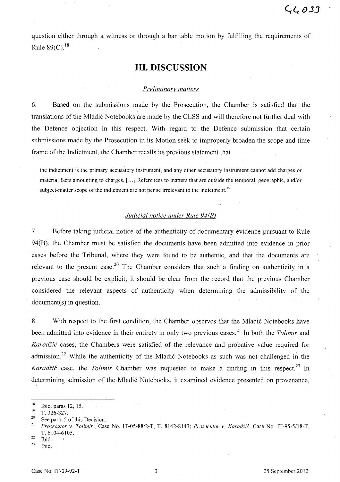question either through a witness or through a bar table motion by fulfilling the requirements of Rule  $89(C)^{18}$ 

# **Ill. DISCUSSION**

#### *Preliminary matters*

6. Based on the submissions made by the Prosecution, the Chamber is satisfied that the translations of the Mladić Notebooks are made by the CLSS and will therefore not further deal with the Defence objection in this respect. With regard to the Defence subinission that certain submissions made by the Prosecution in its Motion seek to improperly broaden the scope and time frame of the Indictment, the Chamber recalls its previous statement that

the indictment is the primary accusatory instrument, and any other accusatory instrument cannot add charges or material facts amounting to charges. [ ... ] References to matters that are outside the temporal, geographic, and/or subject-matter scope of the indictment are not per se irrelevant to the indictment.<sup>19</sup>

# *Judicial notice under Rule 94(B)*

7. Before taking judicial notice of the authenticity of documentary evidence pursuant to Rule 94(B), the Chamber must be satisfied the documents have been admitted into evidence in prior cases before the Tribunal, where they were found to be authentic, and that the documents are relevant to the present case.<sup>20</sup> The Chamber considers that such a finding on authenticity in a previous case should be explicit; it should be clear from the record that the' previous Chamber considered the relevant aspects of authenticity when determining the admissibility of the document(s) in question.

8. With respect to the first condition, the Chamber observes that the Mladić Notebooks have been admitted into evidence in their entirety in only two previous cases. 21 In both the *Tolimir* and Karadžić cases, the Chambers were satisfied of the relevance and probative value required for admission.<sup>22</sup> While the authenticity of the Mladić Notebooks as such was not challenged in the *Karadžić* case, the *Tolimir* Chamber was requested to make a finding in this respect.<sup>23</sup> In determining admission of the Mladić Notebooks, it examined evidence presented on provenance, \

Ibid.

 $\frac{18}{19}$  Ibid. paras 12, 15.

 $\frac{19}{20}$  T. 326-327.

<sup>&</sup>lt;sup>20</sup> See para. 5 of this Decision.

<sup>21</sup>*Prosecutor* v. *Tolimir* ,Case No. *IT-05-8812-T,* T. 8142-8143; *Prosecutor* v. *Karadiic,* Case No. IT-95-5118-T, T.6104-6105.

 $rac{22}{23}$  Ibid.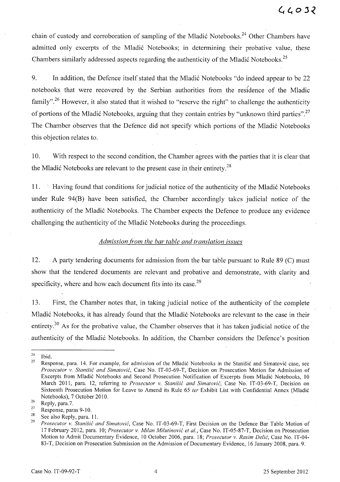chain of custody and corroboration of sampling of the Mladić Notebooks.<sup>24</sup> Other Chambers have admitted only excerpts of the Mladić Notebooks; in determining their probative value, these Chambers similarly addressed aspects regarding the authenticity of the Mladić Notebooks.<sup>25</sup>

9. In addition, the Defence itself stated that the Mladić Notebooks "do indeed appear to be 22 notebooks that were recovered by the Serbian authorities from the residence of the Mladic family".<sup>26</sup> However, it also stated that it wished to "reserve the right" to challenge the authenticity of portions of the Mladić Notebooks, arguing that they contain entries by "unknown third parties".<sup>27</sup> The Chamber observes that the Defence did not specify which portions of the Mladić Notebooks this objection relates to.

10. With respect to the second condition, the Chamber agrees with the parties that it is clear that the Mladić Notebooks are relevant to the present case in their entirety.<sup>28</sup>

11. Having found that conditions for judicial notice of the authenticity of the Mladić Notebooks under Rule 94(B) have been satisfied, the Chamber accordingly takes judicial notice of the authenticity of the Mladić Notebooks. The Chamber expects the Defence to produce any evidence challenging the authenticity of the Mladić Notebooks during the proceedings.

## *Admission from the bar table and translation issues*

12. A party tendering documents for admission from the bar table pursuant to Rule 89 (C) must show that the tendered documents are relevant and probative and demonstrate, with clarity and specificity, where and how each document fits into its case.<sup>29</sup>

13. First, the Chamber notes that, in taking judicial notice of the authenticity of the complete Mladić Notebooks, it has already found that the Mladić Notebooks are relevant to the case in their entirety.<sup>30</sup> As for the probative value, the Chamber observes that it has taken judicial notice of the authenticity of the Mladić Notebooks. In addition, the Chamber considers the Defence's position

 $rac{24}{25}$  Ibid.

Response, para. 14. For example, for admission of the Mladić Notebooks in the Stanišić and Simatović case, see *Prosecutor* v. *Stanisic and Simatovic,* Case No. IT -03-69-T, Decision on Prosecution Motion for Admission of Excerpts from Mladić Notebooks and Second Prosecution Notification of Excerpts from Mladić Notebooks, 10 March 2011, para. 12, referring to *Prosecutor* v. *Stanisic and Simatovic,* Case No. IT-03-69-T, Decision on Sixteenth Prosecution Motion for Leave to Amend its Rule 65 *ter* Exhibit List with Confidential Annex (Mladi6 Notebooks), 7 October 2010.<br>
Reply, para.7.<br>
Posmanas name 0.10

 $\frac{27}{28}$  Response, paras 9-10.

 $\frac{28}{29}$  See also Reply, para. 11.

*<sup>29</sup> Prosecutor* v. *Stanisic and Simatovic,* Case No. IT -03-69-T, First Decision on the Defence Bar Table Motion of 17 February 2012, para. 10; *Prosecutor* v. *Milan Milutinovic et aI.,* Case No. IT-05-87-T, Decision on Prosecution Motion to Admit Documentary Evidence, 10 October 2006, para. 18; *Prosecutor* v. *Rasim Delic,* Case No. IT -04- 83-T, Decision on Prosecution Submission on the Admission of Documentary Evidence, 16 January 2008, para. 9.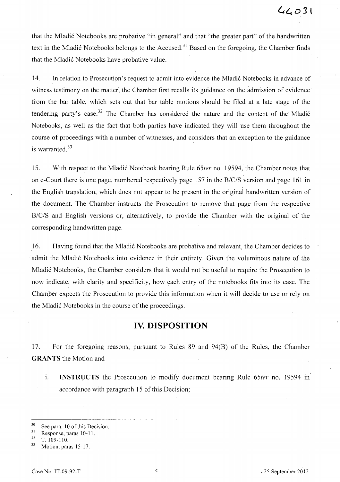that the Mladic Notebooks are probative "in general" and that "the greater part" of the handwritten text in the Mladić Notebooks belongs to the Accused.<sup>31</sup> Based on the foregoing, the Chamber finds that the Mladic Notebooks have probative value.

14. In relation to Prosecution's request to admit into evidence the Mladić Notebooks in advance of witness testimony on the matter, the Chamber first recalls its guidance on the admission of evidence from the bar table, which sets out that bar table motions should be filed at a late stage of the tendering party's case.<sup>32</sup> The Chamber has considered the nature and the content of the Mladić Notebooks, as well as the fact that both parties have indicated they will use them throughout the course of proceedings with a number of witnesses, and considers that an exception to the guidance is warranted. $33$ 

15. With respect to the Mladić Notebook bearing Rule 65ter no. 19594, the Chamber notes that on e-Court there is one page, numbered respectively page 157 in the *B/C/S* version and page 161 in the English translation, which does not appear to be present in the original handwritten version of the document. The Chamber instructs the Prosecution to remove that page from the respective *B/C/S* and English versions or, alternatively, to provide the Chamber with the original of the corresponding handwritten page.

16. Having found that the Mladic Notebooks are probative and relevant, the Chamber decides to admit the Mladić Notebooks into evidence in their entirety. Given the voluminous nature of the Mladic Notebooks, the Chamber considers that it would not be useful to require the Prosecution to now indicate, with clarity and specificity, how each entry of the notebooks fits into its case. The Chamber expects the Prosecution to provide this information when it will decide to use or rely on the Mladic Notebooks in the course of the proceedings.

# **IV. DISPOSITION**

17. For the foregoing reasons, pursuant to Rules 89 and 94(B) of the Rules, the Chamber **GRANTS** the Motion and

1. **INSTRUCTS** the Prosecution to modify document bearing Rule *65ter* no. 19594 In accordance with paragraph 15 of this Decision;

 $30$  See para. 10 of this Decision.

 $\frac{31}{32}$  Response, paras 10-11.

<sup>32</sup> T. 109-110.

 $33$  Motion, paras 15-17.